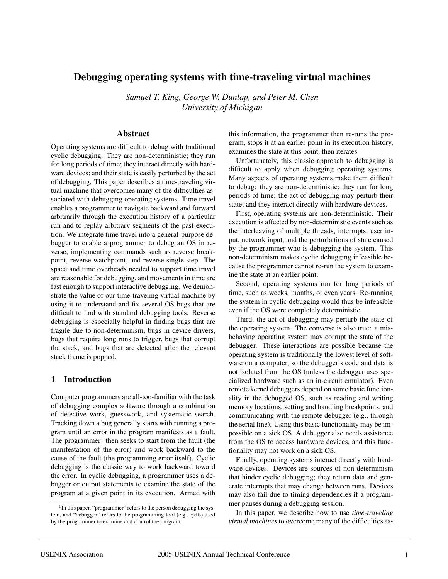# **Debugging operating systems with time-traveling virtual machines**

*Samuel T. King, George W. Dunlap, and Peter M. Chen University of Michigan*

## **Abstract**

Operating systems are difficult to debug with traditional cyclic debugging. They are non-deterministic; they run for long periods of time; they interact directly with hardware devices; and their state is easily perturbed by the act of debugging. This paper describes a time-traveling virtual machine that overcomes many of the difficulties associated with debugging operating systems. Time travel enables a programmer to navigate backward and forward arbitrarily through the execution history of a particular run and to replay arbitrary segments of the past execution. We integrate time travel into a general-purpose debugger to enable a programmer to debug an OS in reverse, implementing commands such as reverse breakpoint, reverse watchpoint, and reverse single step. The space and time overheads needed to support time travel are reasonable for debugging, and movements in time are fast enough to support interactive debugging. We demonstrate the value of our time-traveling virtual machine by using it to understand and fix several OS bugs that are difficult to find with standard debugging tools. Reverse debugging is especially helpful in finding bugs that are fragile due to non-determinism, bugs in device drivers, bugs that require long runs to trigger, bugs that corrupt the stack, and bugs that are detected after the relevant stack frame is popped.

## **1 Introduction**

Computer programmers are all-too-familiar with the task of debugging complex software through a combination of detective work, guesswork, and systematic search. Tracking down a bug generally starts with running a program until an error in the program manifests as a fault. The programmer<sup>1</sup> then seeks to start from the fault (the manifestation of the error) and work backward to the cause of the fault (the programming error itself). Cyclic debugging is the classic way to work backward toward the error. In cyclic debugging, a programmer uses a debugger or output statements to examine the state of the program at a given point in its execution. Armed with this information, the programmer then re-runs the program, stops it at an earlier point in its execution history, examines the state at this point, then iterates.

Unfortunately, this classic approach to debugging is difficult to apply when debugging operating systems. Many aspects of operating systems make them difficult to debug: they are non-deterministic; they run for long periods of time; the act of debugging may perturb their state; and they interact directly with hardware devices.

First, operating systems are non-deterministic. Their execution is affected by non-deterministic events such as the interleaving of multiple threads, interrupts, user input, network input, and the perturbations of state caused by the programmer who is debugging the system. This non-determinism makes cyclic debugging infeasible because the programmer cannot re-run the system to examine the state at an earlier point.

Second, operating systems run for long periods of time, such as weeks, months, or even years. Re-running the system in cyclic debugging would thus be infeasible even if the OS were completely deterministic.

Third, the act of debugging may perturb the state of the operating system. The converse is also true: a misbehaving operating system may corrupt the state of the debugger. These interactions are possible because the operating system is traditionally the lowest level of software on a computer, so the debugger's code and data is not isolated from the OS (unless the debugger uses specialized hardware such as an in-circuit emulator). Even remote kernel debuggers depend on some basic functionality in the debugged OS, such as reading and writing memory locations, setting and handling breakpoints, and communicating with the remote debugger (e.g., through the serial line). Using this basic functionality may be impossible on a sick OS. A debugger also needs assistance from the OS to access hardware devices, and this functionality may not work on a sick OS.

Finally, operating systems interact directly with hardware devices. Devices are sources of non-determinism that hinder cyclic debugging; they return data and generate interrupts that may change between runs. Devices may also fail due to timing dependencies if a programmer pauses during a debugging session.

In this paper, we describe how to use *time-traveling virtual machines* to overcome many of the difficulties as-

 $1$ In this paper, "programmer" refers to the person debugging the system, and "debugger" refers to the programming tool (e.g., gdb) used by the programmer to examine and control the program.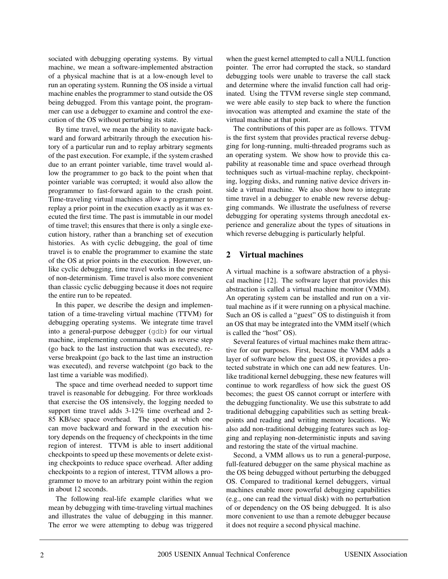sociated with debugging operating systems. By virtual machine, we mean a software-implemented abstraction of a physical machine that is at a low-enough level to run an operating system. Running the OS inside a virtual machine enables the programmer to stand outside the OS being debugged. From this vantage point, the programmer can use a debugger to examine and control the execution of the OS without perturbing its state.

By time travel, we mean the ability to navigate backward and forward arbitrarily through the execution history of a particular run and to replay arbitrary segments of the past execution. For example, if the system crashed due to an errant pointer variable, time travel would allow the programmer to go back to the point when that pointer variable was corrupted; it would also allow the programmer to fast-forward again to the crash point. Time-traveling virtual machines allow a programmer to replay a prior point in the execution exactly as it was executed the first time. The past is immutable in our model of time travel; this ensures that there is only a single execution history, rather than a branching set of execution histories. As with cyclic debugging, the goal of time travel is to enable the programmer to examine the state of the OS at prior points in the execution. However, unlike cyclic debugging, time travel works in the presence of non-determinism. Time travel is also more convenient than classic cyclic debugging because it does not require the entire run to be repeated.

In this paper, we describe the design and implementation of a time-traveling virtual machine (TTVM) for debugging operating systems. We integrate time travel into a general-purpose debugger (gdb) for our virtual machine, implementing commands such as reverse step (go back to the last instruction that was executed), reverse breakpoint (go back to the last time an instruction was executed), and reverse watchpoint (go back to the last time a variable was modified).

The space and time overhead needed to support time travel is reasonable for debugging. For three workloads that exercise the OS intensively, the logging needed to support time travel adds 3-12% time overhead and 2- 85 KB/sec space overhead. The speed at which one can move backward and forward in the execution history depends on the frequency of checkpoints in the time region of interest. TTVM is able to insert additional checkpoints to speed up these movements or delete existing checkpoints to reduce space overhead. After adding checkpoints to a region of interest, TTVM allows a programmer to move to an arbitrary point within the region in about 12 seconds.

The following real-life example clarifies what we mean by debugging with time-traveling virtual machines and illustrates the value of debugging in this manner. The error we were attempting to debug was triggered when the guest kernel attempted to call a NULL function pointer. The error had corrupted the stack, so standard debugging tools were unable to traverse the call stack and determine where the invalid function call had originated. Using the TTVM reverse single step command, we were able easily to step back to where the function invocation was attempted and examine the state of the virtual machine at that point.

The contributions of this paper are as follows. TTVM is the first system that provides practical reverse debugging for long-running, multi-threaded programs such as an operating system. We show how to provide this capability at reasonable time and space overhead through techniques such as virtual-machine replay, checkpointing, logging disks, and running native device drivers inside a virtual machine. We also show how to integrate time travel in a debugger to enable new reverse debugging commands. We illustrate the usefulness of reverse debugging for operating systems through anecdotal experience and generalize about the types of situations in which reverse debugging is particularly helpful.

### **2 Virtual machines**

A virtual machine is a software abstraction of a physical machine [12]. The software layer that provides this abstraction is called a virtual machine monitor (VMM). An operating system can be installed and run on a virtual machine as if it were running on a physical machine. Such an OS is called a "guest" OS to distinguish it from an OS that may be integrated into the VMM itself (which is called the "host" OS).

Several features of virtual machines make them attractive for our purposes. First, because the VMM adds a layer of software below the guest OS, it provides a protected substrate in which one can add new features. Unlike traditional kernel debugging, these new features will continue to work regardless of how sick the guest OS becomes; the guest OS cannot corrupt or interfere with the debugging functionality. We use this substrate to add traditional debugging capabilities such as setting breakpoints and reading and writing memory locations. We also add non-traditional debugging features such as logging and replaying non-deterministic inputs and saving and restoring the state of the virtual machine.

Second, a VMM allows us to run a general-purpose, full-featured debugger on the same physical machine as the OS being debugged without perturbing the debugged OS. Compared to traditional kernel debuggers, virtual machines enable more powerful debugging capabilities (e.g., one can read the virtual disk) with no perturbation of or dependency on the OS being debugged. It is also more convenient to use than a remote debugger because it does not require a second physical machine.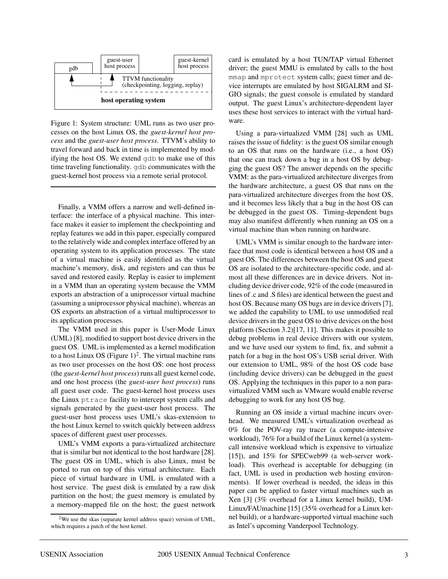

Figure 1: System structure: UML runs as two user processes on the host Linux OS, the *guest-kernel host process* and the *guest-user host process*. TTVM's ability to travel forward and back in time is implemented by modifying the host OS. We extend gdb to make use of this time traveling functionality. gdb communicates with the guest-kernel host process via a remote serial protocol.

Finally, a VMM offers a narrow and well-defined interface: the interface of a physical machine. This interface makes it easier to implement the checkpointing and replay features we add in this paper, especially compared to the relatively wide and complex interface offered by an operating system to its application processes. The state of a virtual machine is easily identified as the virtual machine's memory, disk, and registers and can thus be saved and restored easily. Replay is easier to implement in a VMM than an operating system because the VMM exports an abstraction of a uniprocessor virtual machine (assuming a uniprocessor physical machine), whereas an OS exports an abstraction of a virtual multiprocessor to its application processes.

The VMM used in this paper is User-Mode Linux (UML) [8], modified to support host device drivers in the guest OS. UML is implemented as a kernel modification to a host Linux OS (Figure  $1)^2$ . The virtual machine runs as two user processes on the host OS: one host process (the *guest-kernel host process*) runs all guest kernel code, and one host process (the *guest-user host process*) runs all guest user code. The guest-kernel host process uses the Linux ptrace facility to intercept system calls and signals generated by the guest-user host process. The guest-user host process uses UML's skas-extension to the host Linux kernel to switch quickly between address spaces of different guest user processes.

UML's VMM exports a para-virtualized architecture that is similar but not identical to the host hardware [28]. The guest OS in UML, which is also Linux, must be ported to run on top of this virtual architecture. Each piece of virtual hardware in UML is emulated with a host service. The guest disk is emulated by a raw disk partition on the host; the guest memory is emulated by a memory-mapped file on the host; the guest network card is emulated by a host TUN/TAP virtual Ethernet driver; the guest MMU is emulated by calls to the host mmap and mprotect system calls; guest timer and device interrupts are emulated by host SIGALRM and SI-GIO signals; the guest console is emulated by standard output. The guest Linux's architecture-dependent layer uses these host services to interact with the virtual hardware.

Using a para-virtualized VMM [28] such as UML raises the issue of fidelity: is the guest OS similar enough to an OS that runs on the hardware (i.e., a host OS) that one can track down a bug in a host OS by debugging the guest OS? The answer depends on the specific VMM: as the para-virtualized architecture diverges from the hardware architecture, a guest OS that runs on the para-virtualized architecture diverges from the host OS, and it becomes less likely that a bug in the host OS can be debugged in the guest OS. Timing-dependent bugs may also manifest differently when running an OS on a virtual machine than when running on hardware.

UML's VMM is similar enough to the hardware interface that most code is identical between a host OS and a guest OS. The differences between the host OS and guest OS are isolated to the architecture-specific code, and almost all these differences are in device drivers. Not including device driver code, 92% of the code (measured in lines of .c and .S files) are identical between the guest and host OS. Because many OS bugs are in device drivers [7], we added the capability to UML to use unmodified real device drivers in the guest OS to drive devices on the host platform (Section 3.2)[17, 11]. This makes it possible to debug problems in real device drivers with our system, and we have used our system to find, fix, and submit a patch for a bug in the host OS's USB serial driver. With our extension to UML, 98% of the host OS code base (including device drivers) can be debugged in the guest OS. Applying the techniques in this paper to a non paravirtualized VMM such as VMware would enable reverse debugging to work for any host OS bug.

Running an OS inside a virtual machine incurs overhead. We measured UML's virtualization overhead as 0% for the POV-ray ray tracer (a compute-intensive workload), 76% for a build of the Linux kernel (a systemcall intensive workload which is expensive to virtualize [15]), and 15% for SPECweb99 (a web-server workload). This overhead is acceptable for debugging (in fact, UML is used in production web hosting environments). If lower overhead is needed, the ideas in this paper can be applied to faster virtual machines such as Xen [3] (3% overhead for a Linux kernel build), UM-Linux/FAUmachine [15] (35% overhead for a Linux kernel build), or a hardware-supported virtual machine such as Intel's upcoming Vanderpool Technology.

<sup>2</sup>We use the skas (separate kernel address space) version of UML, which requires a patch of the host kernel.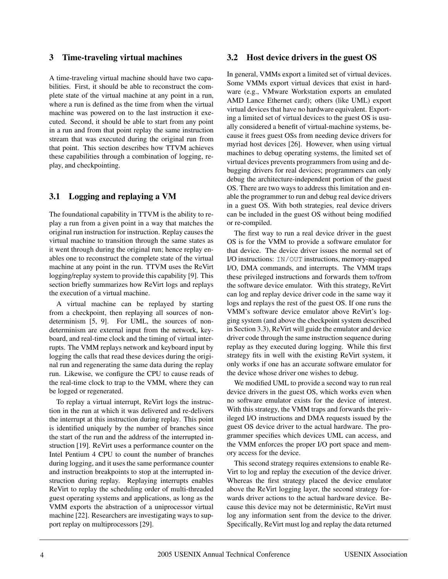### **3 Time-traveling virtual machines**

A time-traveling virtual machine should have two capabilities. First, it should be able to reconstruct the complete state of the virtual machine at any point in a run, where a run is defined as the time from when the virtual machine was powered on to the last instruction it executed. Second, it should be able to start from any point in a run and from that point replay the same instruction stream that was executed during the original run from that point. This section describes how TTVM achieves these capabilities through a combination of logging, replay, and checkpointing.

# **3.1 Logging and replaying a VM**

The foundational capability in TTVM is the ability to replay a run from a given point in a way that matches the original run instruction for instruction. Replay causes the virtual machine to transition through the same states as it went through during the original run; hence replay enables one to reconstruct the complete state of the virtual machine at any point in the run. TTVM uses the ReVirt logging/replay system to provide this capability [9]. This section briefly summarizes how ReVirt logs and replays the execution of a virtual machine.

A virtual machine can be replayed by starting from a checkpoint, then replaying all sources of nondeterminism [5, 9]. For UML, the sources of nondeterminism are external input from the network, keyboard, and real-time clock and the timing of virtual interrupts. The VMM replays network and keyboard input by logging the calls that read these devices during the original run and regenerating the same data during the replay run. Likewise, we configure the CPU to cause reads of the real-time clock to trap to the VMM, where they can be logged or regenerated.

To replay a virtual interrupt, ReVirt logs the instruction in the run at which it was delivered and re-delivers the interrupt at this instruction during replay. This point is identified uniquely by the number of branches since the start of the run and the address of the interrupted instruction [19]. ReVirt uses a performance counter on the Intel Pentium 4 CPU to count the number of branches during logging, and it uses the same performance counter and instruction breakpoints to stop at the interrupted instruction during replay. Replaying interrupts enables ReVirt to replay the scheduling order of multi-threaded guest operating systems and applications, as long as the VMM exports the abstraction of a uniprocessor virtual machine [22]. Researchers are investigating ways to support replay on multiprocessors [29].

### **3.2 Host device drivers in the guest OS**

In general, VMMs export a limited set of virtual devices. Some VMMs export virtual devices that exist in hardware (e.g., VMware Workstation exports an emulated AMD Lance Ethernet card); others (like UML) export virtual devices that have no hardware equivalent. Exporting a limited set of virtual devices to the guest OS is usually considered a benefit of virtual-machine systems, because it frees guest OSs from needing device drivers for myriad host devices [26]. However, when using virtual machines to debug operating systems, the limited set of virtual devices prevents programmers from using and debugging drivers for real devices; programmers can only debug the architecture-independent portion of the guest OS. There are two ways to address this limitation and enable the programmer to run and debug real device drivers in a guest OS. With both strategies, real device drivers can be included in the guest OS without being modified or re-compiled.

The first way to run a real device driver in the guest OS is for the VMM to provide a software emulator for that device. The device driver issues the normal set of I/O instructions: IN/OUT instructions, memory-mapped I/O, DMA commands, and interrupts. The VMM traps these privileged instructions and forwards them to/from the software device emulator. With this strategy, ReVirt can log and replay device driver code in the same way it logs and replays the rest of the guest OS. If one runs the VMM's software device emulator above ReVirt's logging system (and above the checkpoint system described in Section 3.3), ReVirt will guide the emulator and device driver code through the same instruction sequence during replay as they executed during logging. While this first strategy fits in well with the existing ReVirt system, it only works if one has an accurate software emulator for the device whose driver one wishes to debug.

We modified UML to provide a second way to run real device drivers in the guest OS, which works even when no software emulator exists for the device of interest. With this strategy, the VMM traps and forwards the privileged I/O instructions and DMA requests issued by the guest OS device driver to the actual hardware. The programmer specifies which devices UML can access, and the VMM enforces the proper I/O port space and memory access for the device.

This second strategy requires extensions to enable Re-Virt to log and replay the execution of the device driver. Whereas the first strategy placed the device emulator above the ReVirt logging layer, the second strategy forwards driver actions to the actual hardware device. Because this device may not be deterministic, ReVirt must log any information sent from the device to the driver. Specifically, ReVirt must log and replay the data returned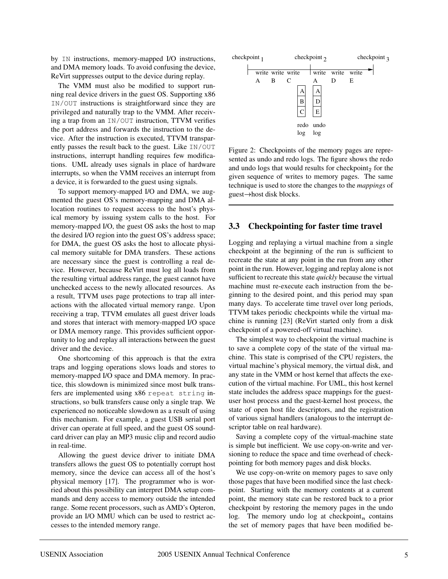by IN instructions, memory-mapped I/O instructions, and DMA memory loads. To avoid confusing the device, ReVirt suppresses output to the device during replay.

The VMM must also be modified to support running real device drivers in the guest OS. Supporting x86 IN/OUT instructions is straightforward since they are privileged and naturally trap to the VMM. After receiving a trap from an IN/OUT instruction, TTVM verifies the port address and forwards the instruction to the device. After the instruction is executed, TTVM transparently passes the result back to the guest. Like IN/OUT instructions, interrupt handling requires few modifications. UML already uses signals in place of hardware interrupts, so when the VMM receives an interrupt from a device, it is forwarded to the guest using signals.

To support memory-mapped I/O and DMA, we augmented the guest OS's memory-mapping and DMA allocation routines to request access to the host's physical memory by issuing system calls to the host. For memory-mapped I/O, the guest OS asks the host to map the desired I/O region into the guest OS's address space; for DMA, the guest OS asks the host to allocate physical memory suitable for DMA transfers. These actions are necessary since the guest is controlling a real device. However, because ReVirt must log all loads from the resulting virtual address range, the guest cannot have unchecked access to the newly allocated resources. As a result, TTVM uses page protections to trap all interactions with the allocated virtual memory range. Upon receiving a trap, TTVM emulates all guest driver loads and stores that interact with memory-mapped I/O space or DMA memory range. This provides sufficient opportunity to log and replay all interactions between the guest driver and the device.

One shortcoming of this approach is that the extra traps and logging operations slows loads and stores to memory-mapped I/O space and DMA memory. In practice, this slowdown is minimized since most bulk transfers are implemented using x86 repeat string instructions, so bulk transfers cause only a single trap. We experienced no noticeable slowdown as a result of using this mechanism. For example, a guest USB serial port driver can operate at full speed, and the guest OS soundcard driver can play an MP3 music clip and record audio in real-time.

Allowing the guest device driver to initiate DMA transfers allows the guest OS to potentially corrupt host memory, since the device can access all of the host's physical memory [17]. The programmer who is worried about this possibility can interpret DMA setup commands and deny access to memory outside the intended range. Some recent processors, such as AMD's Opteron, provide an I/O MMU which can be used to restrict accesses to the intended memory range.



Figure 2: Checkpoints of the memory pages are represented as undo and redo logs. The figure shows the redo and undo logs that would results for checkpoint, for the given sequence of writes to memory pages. The same technique is used to store the changes to the *mappings* of  $quest \rightarrow host$  disk blocks.

#### **3.3 Checkpointing for faster time travel**

Logging and replaying a virtual machine from a single checkpoint at the beginning of the run is sufficient to recreate the state at any point in the run from any other point in the run. However, logging and replay alone is not sufficient to recreate this state *quickly* because the virtual machine must re-execute each instruction from the beginning to the desired point, and this period may span many days. To accelerate time travel over long periods, TTVM takes periodic checkpoints while the virtual machine is running [23] (ReVirt started only from a disk checkpoint of a powered-off virtual machine).

The simplest way to checkpoint the virtual machine is to save a complete copy of the state of the virtual machine. This state is comprised of the CPU registers, the virtual machine's physical memory, the virtual disk, and any state in the VMM or host kernel that affects the execution of the virtual machine. For UML, this host kernel state includes the address space mappings for the guestuser host process and the guest-kernel host process, the state of open host file descriptors, and the registration of various signal handlers (analogous to the interrupt descriptor table on real hardware).

Saving a complete copy of the virtual-machine state is simple but inefficient. We use copy-on-write and versioning to reduce the space and time overhead of checkpointing for both memory pages and disk blocks.

We use copy-on-write on memory pages to save only those pages that have been modified since the last checkpoint. Starting with the memory contents at a current point, the memory state can be restored back to a prior checkpoint by restoring the memory pages in the undo  $\log$ . The memory undo log at checkpoint, contains the set of memory pages that have been modified be-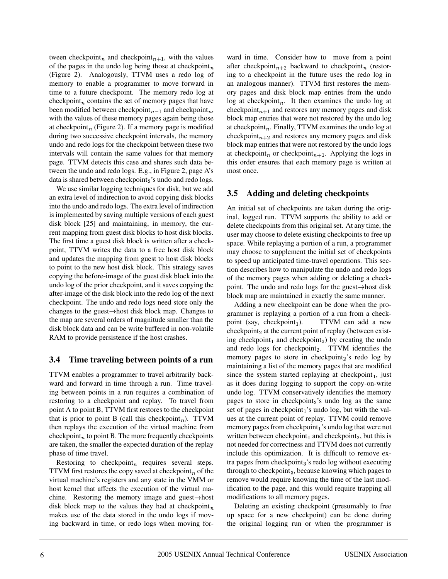tween checkpoint<sub>n</sub> and checkpoint<sub>n+1</sub>, with the values of the pages in the undo log being those at checkpoint $<sub>n</sub>$ </sub> (Figure 2). Analogously, TTVM uses a redo log of memory to enable a programmer to move forward in time to a future checkpoint. The memory redo log at checkpoint<sub>n</sub> contains the set of memory pages that have been modified between checkpoint<sub>n-1</sub> and checkpoint<sub>n</sub>. with the values of these memory pages again being those at checkpoint<sub>n</sub> (Figure 2). If a memory page is modified during two successive checkpoint intervals, the memory undo and redo logs for the checkpoint between these two intervals will contain the same values for that memory page. TTVM detects this case and shares such data between the undo and redo logs. E.g., in Figure 2, page A's data is shared between checkpoint 's undo and redo logs.

We use similar logging techniques for disk, but we add an extra level of indirection to avoid copying disk blocks into the undo and redo logs. The extra level of indirection is implemented by saving multiple versions of each guest disk block [25] and maintaining, in memory, the current mapping from guest disk blocks to host disk blocks. The first time a guest disk block is written after a checkpoint, TTVM writes the data to a free host disk block and updates the mapping from guest to host disk blocks to point to the new host disk block. This strategy saves copying the before-image of the guest disk block into the undo log of the prior checkpoint, and it saves copying the after-image of the disk block into the redo log of the next checkpoint. The undo and redo logs need store only the changes to the guest $\rightarrow$  host disk block map. Changes to the map are several orders of magnitude smaller than the disk block data and can be write buffered in non-volatile RAM to provide persistence if the host crashes.

# **3.4 Time traveling between points of a run**

TTVM enables a programmer to travel arbitrarily backward and forward in time through a run. Time traveling between points in a run requires a combination of restoring to a checkpoint and replay. To travel from point A to point B, TTVM first restores to the checkpoint that is prior to point B (call this checkpoint<sub>n</sub>). TTVM then replays the execution of the virtual machine from checkpoint<sub>n</sub> to point B. The more frequently checkpoints are taken, the smaller the expected duration of the replay phase of time travel.

Restoring to checkpoint<sub>n</sub> requires several steps. TTVM first restores the copy saved at checkpoint, of the virtual machine's registers and any state in the VMM or host kernel that affects the execution of the virtual machine. Restoring the memory image and guest $\rightarrow$  host disk block map to the values they had at checkpoint $<sub>n</sub>$ </sub> makes use of the data stored in the undo logs if moving backward in time, or redo logs when moving for-

after checkpoint $n+2$  backward to checkpoint<sub>n</sub> (restorward in time. Consider how to move from a point ing to a checkpoint in the future uses the redo log in an analogous manner). TTVM first restores the memory pages and disk block map entries from the undo  $\log$  at checkpoint<sub>n</sub>. It then examines the undo log at checkpoint<sub>n+1</sub> and restores any memory pages and disk block map entries that were not restored by the undo log at checkpoint<sub>n</sub>. Finally, TTVM examines the undo log at checkpoint<sub>n+2</sub> and restores any memory pages and disk block map entries that were not restored by the undo logs at checkpoint, or checkpoint,  $\mu$ , Applying the logs in this order ensures that each memory page is written at most once.

# **3.5 Adding and deleting checkpoints**

An initial set of checkpoints are taken during the original, logged run. TTVM supports the ability to add or delete checkpoints from this original set. At any time, the user may choose to delete existing checkpoints to free up space. While replaying a portion of a run, a programmer may choose to supplement the initial set of checkpoints to speed up anticipated time-travel operations. This section describes how to manipulate the undo and redo logs of the memory pages when adding or deleting a checkpoint. The undo and redo logs for the guest $\rightarrow$ host disk block map are maintained in exactly the same manner.

Adding a new checkpoint can be done when the programmer is replaying a portion of a run from a checkpoint (say, checkpoint<sub>1</sub>). TTVM can add a new checkpoint, at the current point of replay (between existing checkpoint<sub>1</sub> and checkpoint<sub>3</sub>) by creating the undo and redo logs for checkpoint. TTVM identifies the memory pages to store in checkpoint, redo log by maintaining a list of the memory pages that are modified since the system started replaying at checkpoint  $_1$ , just as it does during logging to support the copy-on-write undo log. TTVM conservatively identifies the memory pages to store in checkpoint, is undo log as the same set of pages in checkpoint $<sub>1</sub>$ 's undo log, but with the val-</sub> ues at the current point of replay. TTVM could remove memory pages from checkpoint  $\frac{1}{1}$ 's undo log that were not written between checkpoint  $_1$  and checkpoint  $_2$ , but this is not needed for correctness and TTVM does not currently include this optimization. It is difficult to remove extra pages from checkpoint<sub>3</sub>'s redo log without executing through to checkpoint $_3$ , because knowing which pages to remove would require knowing the time of the last modification to the page, and this would require trapping all modifications to all memory pages.

 Deleting an existing checkpoint (presumably to free up space for a new checkpoint) can be done during the original logging run or when the programmer is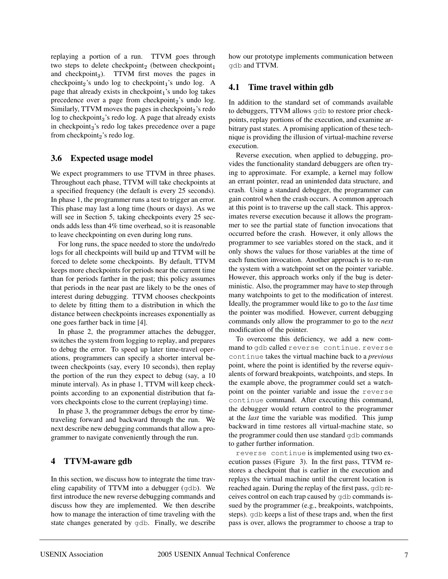replaying a portion of a run. TTVM goes through two steps to delete checkpoint, (between checkpoint,  $\alpha$ and checkpoint $_3$ ). TTVM first moves the pages in  $checkpoint<sub>2</sub>'s$  undo log to checkpoint  $\frac{1}{2}$ 's undo log. A page that already exists in checkpoint $<sub>1</sub>$ 's undo log takes</sub> precedence over a page from checkpoint, is undo log. Similarly,  $TTVM$  moves the pages in checkpoint, is redo  $\log$  to checkpoint<sub>3</sub>'s redo  $\log$ . A page that already exists in checkpoint<sub>3</sub>'s redo log takes precedence over a page from checkpoint, 's redo log.

# **3.6 Expected usage model**

We expect programmers to use TTVM in three phases. Throughout each phase, TTVM will take checkpoints at a specified frequency (the default is every 25 seconds). In phase 1, the programmer runs a test to trigger an error. This phase may last a long time (hours or days). As we will see in Section 5, taking checkpoints every 25 seconds adds less than 4% time overhead, so it is reasonable to leave checkpointing on even during long runs.

For long runs, the space needed to store the undo/redo logs for all checkpoints will build up and TTVM will be forced to delete some checkpoints. By default, TTVM keeps more checkpoints for periods near the current time than for periods farther in the past; this policy assumes that periods in the near past are likely to be the ones of interest during debugging. TTVM chooses checkpoints to delete by fitting them to a distribution in which the distance between checkpoints increases exponentially as one goes farther back in time [4].

In phase 2, the programmer attaches the debugger, switches the system from logging to replay, and prepares to debug the error. To speed up later time-travel operations, programmers can specify a shorter interval between checkpoints (say, every 10 seconds), then replay the portion of the run they expect to debug (say, a 10 minute interval). As in phase 1, TTVM will keep checkpoints according to an exponential distribution that favors checkpoints close to the current (replaying) time.

In phase 3, the programmer debugs the error by timetraveling forward and backward through the run. We next describe new debugging commands that allow a programmer to navigate conveniently through the run.

# **4 TTVM-aware gdb**

In this section, we discuss how to integrate the time traveling capability of TTVM into a debugger (gdb). We first introduce the new reverse debugging commands and discuss how they are implemented. We then describe how to manage the interaction of time traveling with the state changes generated by gdb. Finally, we describe

how our prototype implements communication between gdb and TTVM.

## **4.1 Time travel within gdb**

In addition to the standard set of commands available to debuggers, TTVM allows gdb to restore prior checkpoints, replay portions of the execution, and examine arbitrary past states. A promising application of these technique is providing the illusion of virtual-machine reverse execution.

Reverse execution, when applied to debugging, provides the functionality standard debuggers are often trying to approximate. For example, a kernel may follow an errant pointer, read an unintended data structure, and crash. Using a standard debugger, the programmer can gain control when the crash occurs. A common approach at this point is to traverse up the call stack. This approximates reverse execution because it allows the programmer to see the partial state of function invocations that occurred before the crash. However, it only allows the programmer to see variables stored on the stack, and it only shows the values for those variables at the time of each function invocation. Another approach is to re-run the system with a watchpoint set on the pointer variable. However, this approach works only if the bug is deterministic. Also, the programmer may have to step through many watchpoints to get to the modification of interest. Ideally, the programmer would like to go to the *last* time the pointer was modified. However, current debugging commands only allow the programmer to go to the *next* modification of the pointer.

To overcome this deficiency, we add a new command to gdb called reverse continue. reverse continue takes the virtual machine back to a *previous* point, where the point is identified by the reverse equivalents of forward breakpoints, watchpoints, and steps. In the example above, the programmer could set a watchpoint on the pointer variable and issue the reverse continue command. After executing this command, the debugger would return control to the programmer at the *last* time the variable was modified. This jump backward in time restores all virtual-machine state, so the programmer could then use standard gdb commands to gather further information.

reverse continue is implemented using two execution passes (Figure 3). In the first pass, TTVM restores a checkpoint that is earlier in the execution and replays the virtual machine until the current location is reached again. During the replay of the first pass, gdb receives control on each trap caused by gdb commands issued by the programmer (e.g., breakpoints, watchpoints, steps). gdb keeps a list of these traps and, when the first pass is over, allows the programmer to choose a trap to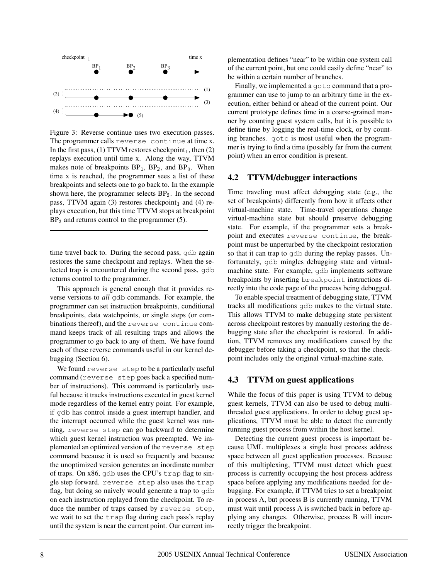

Figure 3: Reverse continue uses two execution passes. The programmer calls reverse continue at time x. In the first pass, (1) TTVM restores checkpoint  $_1$ , then (2) replays execution until time x. Along the way, TTVM makes note of breakpoints  $BP_1$ ,  $BP_2$ , and  $BP_3$ . When time x is reached, the programmer sees a list of these breakpoints and selects one to go back to. In the example shown here, the programmer selects  $BP_2$ . In the second pass, TTVM again (3) restores checkpoint, and (4) replays execution, but this time TTVM stops at breakpoint BP and returns control to the programmer (5).

time travel back to. During the second pass, gdb again restores the same checkpoint and replays. When the selected trap is encountered during the second pass, gdb returns control to the programmer.

This approach is general enough that it provides reverse versions to *all* gdb commands. For example, the programmer can set instruction breakpoints, conditional breakpoints, data watchpoints, or single steps (or combinations thereof), and the reverse continue command keeps track of all resulting traps and allows the programmer to go back to any of them. We have found each of these reverse commands useful in our kernel debugging (Section 6).

We found reverse step to be a particularly useful command (reverse step goes back a specified number of instructions). This command is particularly useful because it tracks instructions executed in guest kernel mode regardless of the kernel entry point. For example, if gdb has control inside a guest interrupt handler, and the interrupt occurred while the guest kernel was running, reverse step can go backward to determine which guest kernel instruction was preempted. We implemented an optimized version of the reverse step command because it is used so frequently and because the unoptimized version generates an inordinate number of traps. On x86, gdb uses the CPU's trap flag to single step forward. reverse step also uses the trap flag, but doing so naively would generate a trap to gdb on each instruction replayed from the checkpoint. To reduce the number of traps caused by reverse step, we wait to set the trap flag during each pass's replay until the system is near the current point. Our current implementation defines "near" to be within one system call of the current point, but one could easily define "near" to be within a certain number of branches.

Finally, we implemented a goto command that a programmer can use to jump to an arbitrary time in the execution, either behind or ahead of the current point. Our current prototype defines time in a coarse-grained manner by counting guest system calls, but it is possible to define time by logging the real-time clock, or by counting branches. goto is most useful when the programmer is trying to find a time (possibly far from the current point) when an error condition is present.

#### **4.2 TTVM/debugger interactions**

Time traveling must affect debugging state (e.g., the set of breakpoints) differently from how it affects other virtual-machine state. Time-travel operations change virtual-machine state but should preserve debugging state. For example, if the programmer sets a breakpoint and executes reverse continue, the breakpoint must be unperturbed by the checkpoint restoration so that it can trap to gdb during the replay passes. Unfortunately, gdb mingles debugging state and virtualmachine state. For example, gdb implements software breakpoints by inserting breakpoint instructions directly into the code page of the process being debugged.

To enable special treatment of debugging state, TTVM tracks all modifications gdb makes to the virtual state. This allows TTVM to make debugging state persistent across checkpoint restores by manually restoring the debugging state after the checkpoint is restored. In addition, TTVM removes any modifications caused by the debugger before taking a checkpoint, so that the checkpoint includes only the original virtual-machine state.

### **4.3 TTVM on guest applications**

While the focus of this paper is using TTVM to debug guest kernels, TTVM can also be used to debug multithreaded guest applications. In order to debug guest applications, TTVM must be able to detect the currently running guest process from within the host kernel.

Detecting the current guest process is important because UML multiplexes a single host process address space between all guest application processes. Because of this multiplexing, TTVM must detect which guest process is currently occupying the host process address space before applying any modifications needed for debugging. For example, if TTVM tries to set a breakpoint in process A, but process B is currently running, TTVM must wait until process A is switched back in before applying any changes. Otherwise, process B will incorrectly trigger the breakpoint.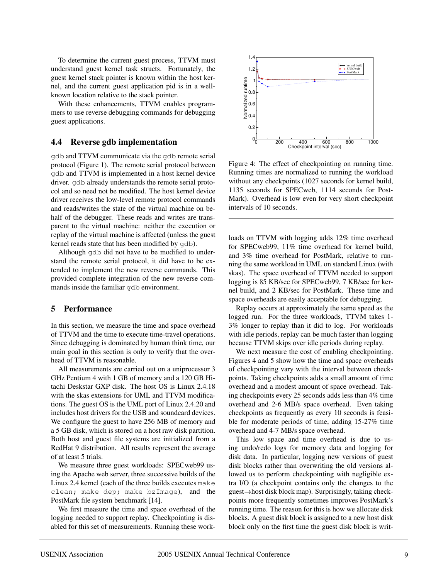To determine the current guest process, TTVM must understand guest kernel task structs. Fortunately, the guest kernel stack pointer is known within the host kernel, and the current guest application pid is in a wellknown location relative to the stack pointer.

With these enhancements, TTVM enables programmers to use reverse debugging commands for debugging guest applications.

### **4.4 Reverse gdb implementation**

gdb and TTVM communicate via the gdb remote serial protocol (Figure 1). The remote serial protocol between gdb and TTVM is implemented in a host kernel device driver. gdb already understands the remote serial protocol and so need not be modified. The host kernel device driver receives the low-level remote protocol commands and reads/writes the state of the virtual machine on behalf of the debugger. These reads and writes are transparent to the virtual machine: neither the execution or replay of the virtual machine is affected (unless the guest kernel reads state that has been modified by gdb).

Although gdb did not have to be modified to understand the remote serial protocol, it did have to be extended to implement the new reverse commands. This provided complete integration of the new reverse commands inside the familiar gdb environment.

#### **5 Performance**

In this section, we measure the time and space overhead of TTVM and the time to execute time-travel operations. Since debugging is dominated by human think time, our main goal in this section is only to verify that the overhead of TTVM is reasonable.

All measurements are carried out on a uniprocessor 3 GHz Pentium 4 with 1 GB of memory and a 120 GB Hitachi Deskstar GXP disk. The host OS is Linux 2.4.18 with the skas extensions for UML and TTVM modifications. The guest OS is the UML port of Linux 2.4.20 and includes host drivers for the USB and soundcard devices. We configure the guest to have 256 MB of memory and a 5 GB disk, which is stored on a host raw disk partition. Both host and guest file systems are initialized from a RedHat 9 distribution. All results represent the average of at least 5 trials.

We measure three guest workloads: SPECweb99 using the Apache web server, three successive builds of the Linux 2.4 kernel (each of the three builds executes make clean; make dep; make bzImage), and the PostMark file system benchmark [14].

We first measure the time and space overhead of the logging needed to support replay. Checkpointing is disabled for this set of measurements. Running these work-



Figure 4: The effect of checkpointing on running time. Running times are normalized to running the workload without any checkpoints (1027 seconds for kernel build, 1135 seconds for SPECweb, 1114 seconds for Post-Mark). Overhead is low even for very short checkpoint intervals of 10 seconds.

loads on TTVM with logging adds 12% time overhead for SPECweb99, 11% time overhead for kernel build, and 3% time overhead for PostMark, relative to running the same workload in UML on standard Linux (with skas). The space overhead of TTVM needed to support logging is 85 KB/sec for SPECweb99, 7 KB/sec for kernel build, and 2 KB/sec for PostMark. These time and space overheads are easily acceptable for debugging.

Replay occurs at approximately the same speed as the logged run. For the three workloads, TTVM takes 1- 3% longer to replay than it did to log. For workloads with idle periods, replay can be much faster than logging because TTVM skips over idle periods during replay.

We next measure the cost of enabling checkpointing. Figures 4 and 5 show how the time and space overheads of checkpointing vary with the interval between checkpoints. Taking checkpoints adds a small amount of time overhead and a modest amount of space overhead. Taking checkpoints every 25 seconds adds less than 4% time overhead and 2-6 MB/s space overhead. Even taking checkpoints as frequently as every 10 seconds is feasible for moderate periods of time, adding 15-27% time overhead and 4-7 MB/s space overhead.

This low space and time overhead is due to using undo/redo logs for memory data and logging for disk data. In particular, logging new versions of guest disk blocks rather than overwriting the old versions allowed us to perform checkpointing with negligible extra I/O (a checkpoint contains only the changes to the  $guest \rightarrow host$  disk block map). Surprisingly, taking checkpoints more frequently sometimes improves PostMark's running time. The reason for this is how we allocate disk blocks. A guest disk block is assigned to a new host disk block only on the first time the guest disk block is writ-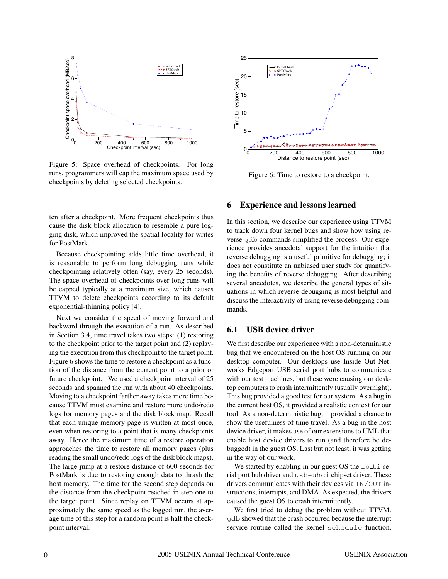

Figure 5: Space overhead of checkpoints. For long runs, programmers will cap the maximum space used by checkpoints by deleting selected checkpoints.

ten after a checkpoint. More frequent checkpoints thus cause the disk block allocation to resemble a pure logging disk, which improved the spatial locality for writes for PostMark.

Because checkpointing adds little time overhead, it is reasonable to perform long debugging runs while checkpointing relatively often (say, every 25 seconds). The space overhead of checkpoints over long runs will be capped typically at a maximum size, which causes TTVM to delete checkpoints according to its default exponential-thinning policy [4].

Next we consider the speed of moving forward and backward through the execution of a run. As described in Section 3.4, time travel takes two steps: (1) restoring to the checkpoint prior to the target point and (2) replaying the execution from this checkpoint to the target point. Figure 6 shows the time to restore a checkpoint as a function of the distance from the current point to a prior or future checkpoint. We used a checkpoint interval of 25 seconds and spanned the run with about 40 checkpoints. Moving to a checkpoint farther away takes more time because TTVM must examine and restore more undo/redo logs for memory pages and the disk block map. Recall that each unique memory page is written at most once, even when restoring to a point that is many checkpoints away. Hence the maximum time of a restore operation approaches the time to restore all memory pages (plus reading the small undo/redo logs of the disk block maps). The large jump at a restore distance of 600 seconds for PostMark is due to restoring enough data to thrash the host memory. The time for the second step depends on the distance from the checkpoint reached in step one to the target point. Since replay on TTVM occurs at approximately the same speed as the logged run, the average time of this step for a random point is half the checkpoint interval.



Figure 6: Time to restore to a checkpoint.

### **6 Experience and lessons learned**

In this section, we describe our experience using TTVM to track down four kernel bugs and show how using reverse gdb commands simplified the process. Our experience provides anecdotal support for the intuition that reverse debugging is a useful primitive for debugging; it does not constitute an unbiased user study for quantifying the benefits of reverse debugging. After describing several anecdotes, we describe the general types of situations in which reverse debugging is most helpful and discuss the interactivity of using reverse debugging commands.

## **6.1 USB device driver**

We first describe our experience with a non-deterministic bug that we encountered on the host OS running on our desktop computer. Our desktops use Inside Out Networks Edgeport USB serial port hubs to communicate with our test machines, but these were causing our desktop computers to crash intermittently (usually overnight). This bug provided a good test for our system. As a bug in the current host OS, it provided a realistic context for our tool. As a non-deterministic bug, it provided a chance to show the usefulness of time travel. As a bug in the host device driver, it makes use of our extensions to UML that enable host device drivers to run (and therefore be debugged) in the guest OS. Last but not least, it was getting in the way of our work.

We started by enabling in our guest OS the  $i \circ t$  iserial port hub driver and usb-uhci chipset driver. These drivers communicates with their devices via IN/OUT instructions, interrupts, and DMA. As expected, the drivers caused the guest OS to crash intermittently.

We first tried to debug the problem without TTVM. gdb showed that the crash occurred because the interrupt service routine called the kernel schedule function.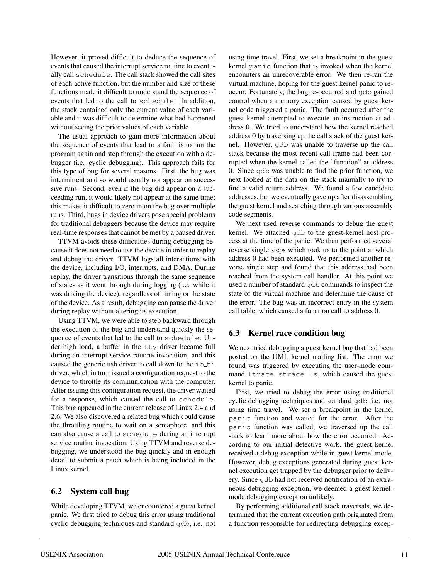However, it proved difficult to deduce the sequence of events that caused the interrupt service routine to eventually call schedule. The call stack showed the call sites of each active function, but the number and size of these functions made it difficult to understand the sequence of events that led to the call to schedule. In addition, the stack contained only the current value of each variable and it was difficult to determine what had happened without seeing the prior values of each variable.

The usual approach to gain more information about the sequence of events that lead to a fault is to run the program again and step through the execution with a debugger (i.e. cyclic debugging). This approach fails for this type of bug for several reasons. First, the bug was intermittent and so would usually not appear on successive runs. Second, even if the bug did appear on a succeeding run, it would likely not appear at the same time; this makes it difficult to zero in on the bug over multiple runs. Third, bugs in device drivers pose special problems for traditional debuggers because the device may require real-time responses that cannot be met by a paused driver.

TTVM avoids these difficulties during debugging because it does not need to use the device in order to replay and debug the driver. TTVM logs all interactions with the device, including I/O, interrupts, and DMA. During replay, the driver transitions through the same sequence of states as it went through during logging (i.e. while it was driving the device), regardless of timing or the state of the device. As a result, debugging can pause the driver during replay without altering its execution.

Using TTVM, we were able to step backward through the execution of the bug and understand quickly the sequence of events that led to the call to schedule. Under high load, a buffer in the tty driver became full during an interrupt service routine invocation, and this caused the generic usb driver to call down to the ioti driver, which in turn issued a configuration request to the device to throttle its communication with the computer. After issuing this configuration request, the driver waited for a response, which caused the call to schedule. This bug appeared in the current release of Linux 2.4 and 2.6. We also discovered a related bug which could cause the throttling routine to wait on a semaphore, and this can also cause a call to schedule during an interrupt service routine invocation. Using TTVM and reverse debugging, we understood the bug quickly and in enough detail to submit a patch which is being included in the Linux kernel.

## **6.2 System call bug**

While developing TTVM, we encountered a guest kernel panic. We first tried to debug this error using traditional cyclic debugging techniques and standard gdb, i.e. not

using time travel. First, we set a breakpoint in the guest kernel panic function that is invoked when the kernel encounters an unrecoverable error. We then re-ran the virtual machine, hoping for the guest kernel panic to reoccur. Fortunately, the bug re-occurred and gdb gained control when a memory exception caused by guest kernel code triggered a panic. The fault occurred after the guest kernel attempted to execute an instruction at address 0. We tried to understand how the kernel reached address 0 by traversing up the call stack of the guest kernel. However, gdb was unable to traverse up the call stack because the most recent call frame had been corrupted when the kernel called the "function" at address 0. Since gdb was unable to find the prior function, we next looked at the data on the stack manually to try to find a valid return address. We found a few candidate addresses, but we eventually gave up after disassembling the guest kernel and searching through various assembly code segments.

We next used reverse commands to debug the guest kernel. We attached gdb to the guest-kernel host process at the time of the panic. We then performed several reverse single steps which took us to the point at which address 0 had been executed. We performed another reverse single step and found that this address had been reached from the system call handler. At this point we used a number of standard gdb commands to inspect the state of the virtual machine and determine the cause of the error. The bug was an incorrect entry in the system call table, which caused a function call to address 0.

## **6.3 Kernel race condition bug**

We next tried debugging a guest kernel bug that had been posted on the UML kernel mailing list. The error we found was triggered by executing the user-mode command ltrace strace ls, which caused the guest kernel to panic.

First, we tried to debug the error using traditional cyclic debugging techniques and standard gdb, i.e. not using time travel. We set a breakpoint in the kernel panic function and waited for the error. After the panic function was called, we traversed up the call stack to learn more about how the error occurred. According to our initial detective work, the guest kernel received a debug exception while in guest kernel mode. However, debug exceptions generated during guest kernel execution get trapped by the debugger prior to delivery. Since gdb had not received notification of an extraneous debugging exception, we deemed a guest kernelmode debugging exception unlikely.

By performing additional call stack traversals, we determined that the current execution path originated from a function responsible for redirecting debugging excep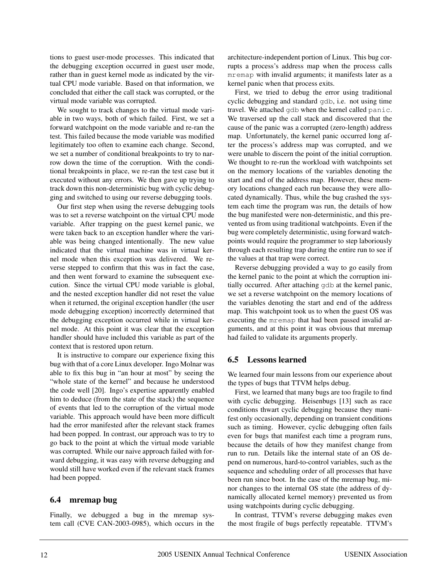tions to guest user-mode processes. This indicated that the debugging exception occurred in guest user mode, rather than in guest kernel mode as indicated by the virtual CPU mode variable. Based on that information, we concluded that either the call stack was corrupted, or the virtual mode variable was corrupted.

We sought to track changes to the virtual mode variable in two ways, both of which failed. First, we set a forward watchpoint on the mode variable and re-ran the test. This failed because the mode variable was modified legitimately too often to examine each change. Second, we set a number of conditional breakpoints to try to narrow down the time of the corruption. With the conditional breakpoints in place, we re-ran the test case but it executed without any errors. We then gave up trying to track down this non-deterministic bug with cyclic debugging and switched to using our reverse debugging tools.

Our first step when using the reverse debugging tools was to set a reverse watchpoint on the virtual CPU mode variable. After trapping on the guest kernel panic, we were taken back to an exception handler where the variable was being changed intentionally. The new value indicated that the virtual machine was in virtual kernel mode when this exception was delivered. We reverse stepped to confirm that this was in fact the case, and then went forward to examine the subsequent execution. Since the virtual CPU mode variable is global, and the nested exception handler did not reset the value when it returned, the original exception handler (the user mode debugging exception) incorrectly determined that the debugging exception occurred while in virtual kernel mode. At this point it was clear that the exception handler should have included this variable as part of the context that is restored upon return.

It is instructive to compare our experience fixing this bug with that of a core Linux developer. Ingo Molnar was able to fix this bug in "an hour at most" by seeing the "whole state of the kernel" and because he understood the code well [20]. Ingo's expertise apparently enabled him to deduce (from the state of the stack) the sequence of events that led to the corruption of the virtual mode variable. This approach would have been more difficult had the error manifested after the relevant stack frames had been popped. In contrast, our approach was to try to go back to the point at which the virtual mode variable was corrupted. While our naive approach failed with forward debugging, it was easy with reverse debugging and would still have worked even if the relevant stack frames had been popped.

### **6.4 mremap bug**

Finally, we debugged a bug in the mremap system call (CVE CAN-2003-0985), which occurs in the architecture-independent portion of Linux. This bug corrupts a process's address map when the process calls mremap with invalid arguments; it manifests later as a kernel panic when that process exits.

First, we tried to debug the error using traditional cyclic debugging and standard gdb, i.e. not using time travel. We attached gdb when the kernel called panic. We traversed up the call stack and discovered that the cause of the panic was a corrupted (zero-length) address map. Unfortunately, the kernel panic occurred long after the process's address map was corrupted, and we were unable to discern the point of the initial corruption. We thought to re-run the workload with watchpoints set on the memory locations of the variables denoting the start and end of the address map. However, these memory locations changed each run because they were allocated dynamically. Thus, while the bug crashed the system each time the program was run, the details of how the bug manifested were non-deterministic, and this prevented us from using traditional watchpoints. Even if the bug were completely deterministic, using forward watchpoints would require the programmer to step laboriously through each resulting trap during the entire run to see if the values at that trap were correct.

Reverse debugging provided a way to go easily from the kernel panic to the point at which the corruption initially occurred. After attaching gdb at the kernel panic, we set a reverse watchpoint on the memory locations of the variables denoting the start and end of the address map. This watchpoint took us to when the guest OS was executing the mremap that had been passed invalid arguments, and at this point it was obvious that mremap had failed to validate its arguments properly.

## **6.5 Lessons learned**

We learned four main lessons from our experience about the types of bugs that TTVM helps debug.

First, we learned that many bugs are too fragile to find with cyclic debugging. Heisenbugs [13] such as race conditions thwart cyclic debugging because they manifest only occasionally, depending on transient conditions such as timing. However, cyclic debugging often fails even for bugs that manifest each time a program runs, because the details of how they manifest change from run to run. Details like the internal state of an OS depend on numerous, hard-to-control variables, such as the sequence and scheduling order of all processes that have been run since boot. In the case of the mremap bug, minor changes to the internal OS state (the address of dynamically allocated kernel memory) prevented us from using watchpoints during cyclic debugging.

In contrast, TTVM's reverse debugging makes even the most fragile of bugs perfectly repeatable. TTVM's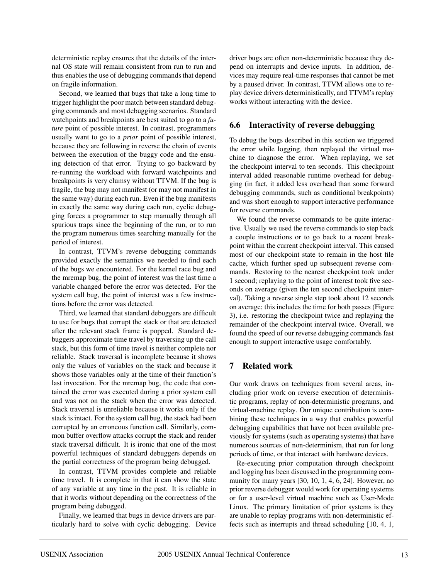deterministic replay ensures that the details of the internal OS state will remain consistent from run to run and thus enables the use of debugging commands that depend on fragile information.

Second, we learned that bugs that take a long time to trigger highlight the poor match between standard debugging commands and most debugging scenarios. Standard watchpoints and breakpoints are best suited to go to a *future* point of possible interest. In contrast, programmers usually want to go to a *prior* point of possible interest, because they are following in reverse the chain of events between the execution of the buggy code and the ensuing detection of that error. Trying to go backward by re-running the workload with forward watchpoints and breakpoints is very clumsy without TTVM. If the bug is fragile, the bug may not manifest (or may not manifest in the same way) during each run. Even if the bug manifests in exactly the same way during each run, cyclic debugging forces a programmer to step manually through all spurious traps since the beginning of the run, or to run the program numerous times searching manually for the period of interest.

In contrast, TTVM's reverse debugging commands provided exactly the semantics we needed to find each of the bugs we encountered. For the kernel race bug and the mremap bug, the point of interest was the last time a variable changed before the error was detected. For the system call bug, the point of interest was a few instructions before the error was detected.

Third, we learned that standard debuggers are difficult to use for bugs that corrupt the stack or that are detected after the relevant stack frame is popped. Standard debuggers approximate time travel by traversing up the call stack, but this form of time travel is neither complete nor reliable. Stack traversal is incomplete because it shows only the values of variables on the stack and because it shows those variables only at the time of their function's last invocation. For the mremap bug, the code that contained the error was executed during a prior system call and was not on the stack when the error was detected. Stack traversal is unreliable because it works only if the stack is intact. For the system call bug, the stack had been corrupted by an erroneous function call. Similarly, common buffer overflow attacks corrupt the stack and render stack traversal difficult. It is ironic that one of the most powerful techniques of standard debuggers depends on the partial correctness of the program being debugged.

In contrast, TTVM provides complete and reliable time travel. It is complete in that it can show the state of any variable at any time in the past. It is reliable in that it works without depending on the correctness of the program being debugged.

Finally, we learned that bugs in device drivers are particularly hard to solve with cyclic debugging. Device driver bugs are often non-deterministic because they depend on interrupts and device inputs. In addition, devices may require real-time responses that cannot be met by a paused driver. In contrast, TTVM allows one to replay device drivers deterministically, and TTVM's replay works without interacting with the device.

## **6.6 Interactivity of reverse debugging**

To debug the bugs described in this section we triggered the error while logging, then replayed the virtual machine to diagnose the error. When replaying, we set the checkpoint interval to ten seconds. This checkpoint interval added reasonable runtime overhead for debugging (in fact, it added less overhead than some forward debugging commands, such as conditional breakpoints) and was short enough to support interactive performance for reverse commands.

We found the reverse commands to be quite interactive. Usually we used the reverse commands to step back a couple instructions or to go back to a recent breakpoint within the current checkpoint interval. This caused most of our checkpoint state to remain in the host file cache, which further sped up subsequent reverse commands. Restoring to the nearest checkpoint took under 1 second; replaying to the point of interest took five seconds on average (given the ten second checkpoint interval). Taking a reverse single step took about 12 seconds on average; this includes the time for both passes (Figure 3), i.e. restoring the checkpoint twice and replaying the remainder of the checkpoint interval twice. Overall, we found the speed of our reverse debugging commands fast enough to support interactive usage comfortably.

## **7 Related work**

Our work draws on techniques from several areas, including prior work on reverse execution of deterministic programs, replay of non-deterministic programs, and virtual-machine replay. Our unique contribution is combining these techniques in a way that enables powerful debugging capabilities that have not been available previously for systems (such as operating systems) that have numerous sources of non-determinism, that run for long periods of time, or that interact with hardware devices.

Re-executing prior computation through checkpoint and logging has been discussed in the programming community for many years [30, 10, 1, 4, 6, 24]. However, no prior reverse debugger would work for operating systems or for a user-level virtual machine such as User-Mode Linux. The primary limitation of prior systems is they are unable to replay programs with non-deterministic effects such as interrupts and thread scheduling [10, 4, 1,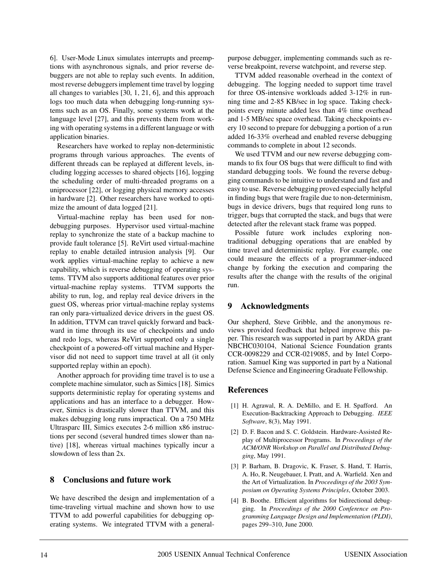6]. User-Mode Linux simulates interrupts and preemptions with asynchronous signals, and prior reverse debuggers are not able to replay such events. In addition, most reverse debuggers implement time travel by logging all changes to variables [30, 1, 21, 6], and this approach logs too much data when debugging long-running systems such as an OS. Finally, some systems work at the language level [27], and this prevents them from working with operating systems in a different language or with application binaries.

Researchers have worked to replay non-deterministic programs through various approaches. The events of different threads can be replayed at different levels, including logging accesses to shared objects [16], logging the scheduling order of multi-threaded programs on a uniprocessor [22], or logging physical memory accesses in hardware [2]. Other researchers have worked to optimize the amount of data logged [21].

Virtual-machine replay has been used for nondebugging purposes. Hypervisor used virtual-machine replay to synchronize the state of a backup machine to provide fault tolerance [5]. ReVirt used virtual-machine replay to enable detailed intrusion analysis [9]. Our work applies virtual-machine replay to achieve a new capability, which is reverse debugging of operating systems. TTVM also supports additional features over prior virtual-machine replay systems. TTVM supports the ability to run, log, and replay real device drivers in the guest OS, whereas prior virtual-machine replay systems ran only para-virtualized device drivers in the guest OS. In addition, TTVM can travel quickly forward and backward in time through its use of checkpoints and undo and redo logs, whereas ReVirt supported only a single checkpoint of a powered-off virtual machine and Hypervisor did not need to support time travel at all (it only supported replay within an epoch).

Another approach for providing time travel is to use a complete machine simulator, such as Simics [18]. Simics supports deterministic replay for operating systems and applications and has an interface to a debugger. However, Simics is drastically slower than TTVM, and this makes debugging long runs impractical. On a 750 MHz Ultrasparc III, Simics executes 2-6 million x86 instructions per second (several hundred times slower than native) [18], whereas virtual machines typically incur a slowdown of less than 2x.

## **8 Conclusions and future work**

We have described the design and implementation of a time-traveling virtual machine and shown how to use TTVM to add powerful capabilities for debugging operating systems. We integrated TTVM with a generalpurpose debugger, implementing commands such as reverse breakpoint, reverse watchpoint, and reverse step.

TTVM added reasonable overhead in the context of debugging. The logging needed to support time travel for three OS-intensive workloads added 3-12% in running time and 2-85 KB/sec in log space. Taking checkpoints every minute added less than 4% time overhead and 1-5 MB/sec space overhead. Taking checkpoints every 10 second to prepare for debugging a portion of a run added 16-33% overhead and enabled reverse debugging commands to complete in about 12 seconds.

We used TTVM and our new reverse debugging commands to fix four OS bugs that were difficult to find with standard debugging tools. We found the reverse debugging commands to be intuitive to understand and fast and easy to use. Reverse debugging proved especially helpful in finding bugs that were fragile due to non-determinism, bugs in device drivers, bugs that required long runs to trigger, bugs that corrupted the stack, and bugs that were detected after the relevant stack frame was popped.

Possible future work includes exploring nontraditional debugging operations that are enabled by time travel and deterministic replay. For example, one could measure the effects of a programmer-induced change by forking the execution and comparing the results after the change with the results of the original run.

#### **9 Acknowledgments**

Our shepherd, Steve Gribble, and the anonymous reviews provided feedback that helped improve this paper. This research was supported in part by ARDA grant NBCHC030104, National Science Foundation grants CCR-0098229 and CCR-0219085, and by Intel Corporation. Samuel King was supported in part by a National Defense Science and Engineering Graduate Fellowship.

#### **References**

- [1] H. Agrawal, R. A. DeMillo, and E. H. Spafford. An Execution-Backtracking Approach to Debugging. *IEEE Software*, 8(3), May 1991.
- [2] D. F. Bacon and S. C. Goldstein. Hardware-Assisted Replay of Multiprocessor Programs. In *Proceedings of the ACM/ONR Workshop on Parallel and Distributed Debugging*, May 1991.
- [3] P. Barham, B. Dragovic, K. Fraser, S. Hand, T. Harris, A. Ho, R. Neugebauer, I. Pratt, and A. Warfield. Xen and the Art of Virtualization. In *Proceedings of the 2003 Symposium on Operating Systems Principles*, October 2003.
- [4] B. Boothe. Efficient algorithms for bidirectional debugging. In *Proceedings of the 2000 Conference on Programming Language Design and Implementation (PLDI)*, pages 299–310, June 2000.